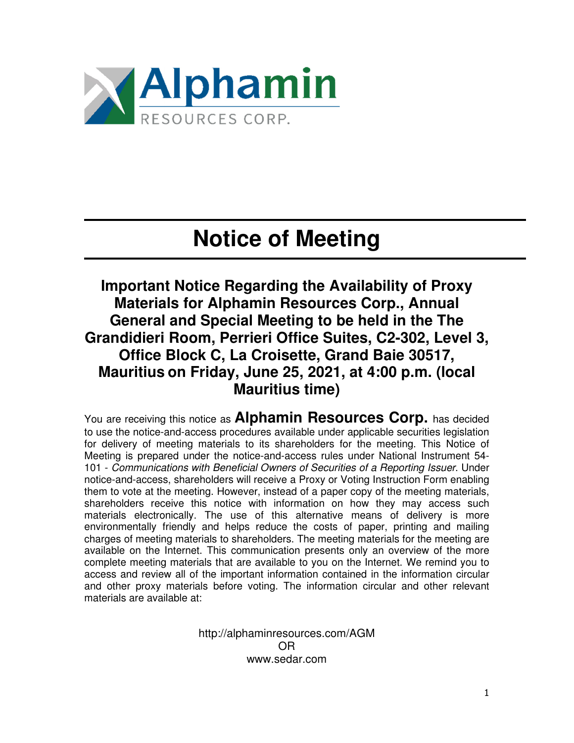

## **Notice of Meeting**

**Important Notice Regarding the Availability of Proxy Materials for Alphamin Resources Corp., Annual General and Special Meeting to be held in the The Grandidieri Room, Perrieri Office Suites, C2-302, Level 3, Office Block C, La Croisette, Grand Baie 30517, Mauritius on Friday, June 25, 2021, at 4:00 p.m. (local Mauritius time)** 

You are receiving this notice as **Alphamin Resources Corp.** has decided to use the notice-and-access procedures available under applicable securities legislation for delivery of meeting materials to its shareholders for the meeting. This Notice of Meeting is prepared under the notice-and-access rules under National Instrument 54- 101 - Communications with Beneficial Owners of Securities of a Reporting Issuer. Under notice-and-access, shareholders will receive a Proxy or Voting Instruction Form enabling them to vote at the meeting. However, instead of a paper copy of the meeting materials, shareholders receive this notice with information on how they may access such materials electronically. The use of this alternative means of delivery is more environmentally friendly and helps reduce the costs of paper, printing and mailing charges of meeting materials to shareholders. The meeting materials for the meeting are available on the Internet. This communication presents only an overview of the more complete meeting materials that are available to you on the Internet. We remind you to access and review all of the important information contained in the information circular and other proxy materials before voting. The information circular and other relevant materials are available at:

> http://alphaminresources.com/AGM OR www.sedar.com